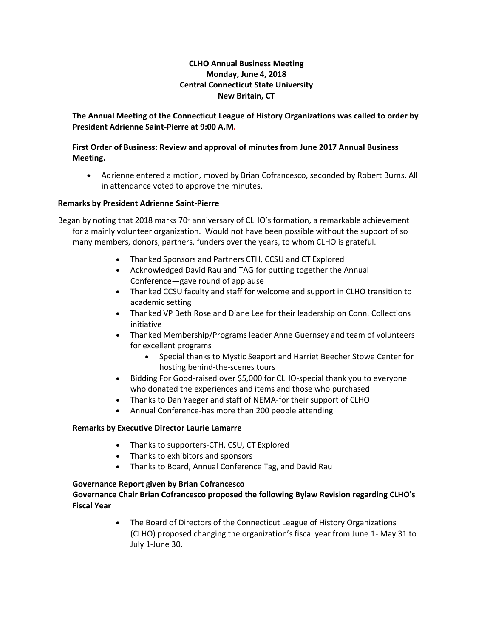# **CLHO Annual Business Meeting Monday, June 4, 2018 Central Connecticut State University New Britain, CT**

# **The Annual Meeting of the Connecticut League of History Organizations was called to order by President Adrienne Saint-Pierre at 9:00 A.M.**

## **First Order of Business: Review and approval of minutes from June 2017 Annual Business Meeting.**

• Adrienne entered a motion, moved by Brian Cofrancesco, seconded by Robert Burns. All in attendance voted to approve the minutes.

## **Remarks by President Adrienne Saint-Pierre**

Began by noting that 2018 marks 70<sup>®</sup> anniversary of CLHO's formation, a remarkable achievement for a mainly volunteer organization. Would not have been possible without the support of so many members, donors, partners, funders over the years, to whom CLHO is grateful.

- Thanked Sponsors and Partners CTH, CCSU and CT Explored
- Acknowledged David Rau and TAG for putting together the Annual Conference—gave round of applause
- Thanked CCSU faculty and staff for welcome and support in CLHO transition to academic setting
- Thanked VP Beth Rose and Diane Lee for their leadership on Conn. Collections initiative
- Thanked Membership/Programs leader Anne Guernsey and team of volunteers for excellent programs
	- Special thanks to Mystic Seaport and Harriet Beecher Stowe Center for hosting behind-the-scenes tours
- Bidding For Good-raised over \$5,000 for CLHO-special thank you to everyone who donated the experiences and items and those who purchased
- Thanks to Dan Yaeger and staff of NEMA-for their support of CLHO
- Annual Conference-has more than 200 people attending

#### **Remarks by Executive Director Laurie Lamarre**

- Thanks to supporters-CTH, CSU, CT Explored
- Thanks to exhibitors and sponsors
- Thanks to Board, Annual Conference Tag, and David Rau

#### **Governance Report given by Brian Cofrancesco**

## **Governance Chair Brian Cofrancesco proposed the following Bylaw Revision regarding CLHO's Fiscal Year**

• The Board of Directors of the Connecticut League of History Organizations (CLHO) proposed changing the organization's fiscal year from June 1- May 31 to July 1-June 30.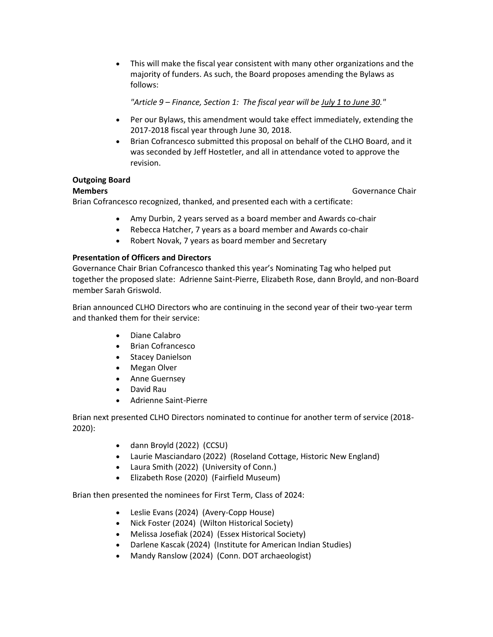• This will make the fiscal year consistent with many other organizations and the majority of funders. As such, the Board proposes amending the Bylaws as follows:

*"Article 9 – Finance, Section 1: The fiscal year will be July 1 to June 30."*

- Per our Bylaws, this amendment would take effect immediately, extending the 2017-2018 fiscal year through June 30, 2018.
- Brian Cofrancesco submitted this proposal on behalf of the CLHO Board, and it was seconded by Jeff Hostetler, and all in attendance voted to approve the revision.

## **Outgoing Board**

**Members Governance Chair** 

Brian Cofrancesco recognized, thanked, and presented each with a certificate:

- Amy Durbin, 2 years served as a board member and Awards co-chair
- Rebecca Hatcher, 7 years as a board member and Awards co-chair
- Robert Novak, 7 years as board member and Secretary

## **Presentation of Officers and Directors**

Governance Chair Brian Cofrancesco thanked this year's Nominating Tag who helped put together the proposed slate: Adrienne Saint-Pierre, Elizabeth Rose, dann Broyld, and non-Board member Sarah Griswold.

Brian announced CLHO Directors who are continuing in the second year of their two-year term and thanked them for their service:

- Diane Calabro
- Brian Cofrancesco
- Stacey Danielson
- Megan Olver
- Anne Guernsey
- David Rau
- Adrienne Saint-Pierre

Brian next presented CLHO Directors nominated to continue for another term of service (2018- 2020):

- dann Broyld (2022) (CCSU)
- Laurie Masciandaro (2022) (Roseland Cottage, Historic New England)
- Laura Smith (2022) (University of Conn.)
- Elizabeth Rose (2020) (Fairfield Museum)

Brian then presented the nominees for First Term, Class of 2024:

- Leslie Evans (2024) (Avery-Copp House)
- Nick Foster (2024) (Wilton Historical Society)
- Melissa Josefiak (2024) (Essex Historical Society)
- Darlene Kascak (2024) (Institute for American Indian Studies)
- Mandy Ranslow (2024) (Conn. DOT archaeologist)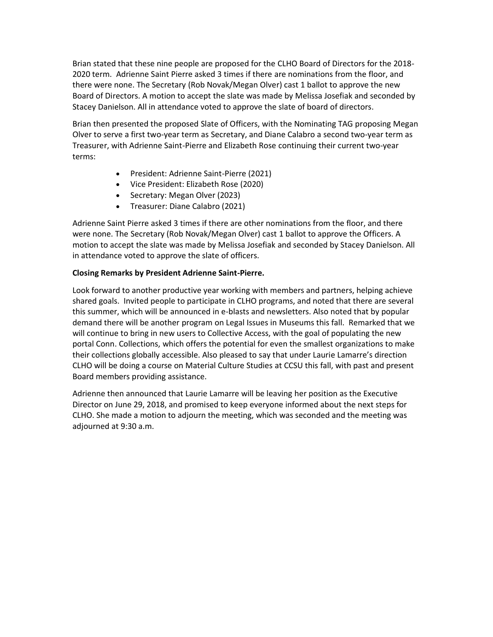Brian stated that these nine people are proposed for the CLHO Board of Directors for the 2018- 2020 term. Adrienne Saint Pierre asked 3 times if there are nominations from the floor, and there were none. The Secretary (Rob Novak/Megan Olver) cast 1 ballot to approve the new Board of Directors. A motion to accept the slate was made by Melissa Josefiak and seconded by Stacey Danielson. All in attendance voted to approve the slate of board of directors.

Brian then presented the proposed Slate of Officers, with the Nominating TAG proposing Megan Olver to serve a first two-year term as Secretary, and Diane Calabro a second two-year term as Treasurer, with Adrienne Saint-Pierre and Elizabeth Rose continuing their current two-year terms:

- President: Adrienne Saint-Pierre (2021)
- Vice President: Elizabeth Rose (2020)
- Secretary: Megan Olver (2023)
- Treasurer: Diane Calabro (2021)

Adrienne Saint Pierre asked 3 times if there are other nominations from the floor, and there were none. The Secretary (Rob Novak/Megan Olver) cast 1 ballot to approve the Officers. A motion to accept the slate was made by Melissa Josefiak and seconded by Stacey Danielson. All in attendance voted to approve the slate of officers.

#### **Closing Remarks by President Adrienne Saint-Pierre.**

Look forward to another productive year working with members and partners, helping achieve shared goals. Invited people to participate in CLHO programs, and noted that there are several this summer, which will be announced in e-blasts and newsletters. Also noted that by popular demand there will be another program on Legal Issues in Museums this fall. Remarked that we will continue to bring in new users to Collective Access, with the goal of populating the new portal Conn. Collections, which offers the potential for even the smallest organizations to make their collections globally accessible. Also pleased to say that under Laurie Lamarre's direction CLHO will be doing a course on Material Culture Studies at CCSU this fall, with past and present Board members providing assistance.

Adrienne then announced that Laurie Lamarre will be leaving her position as the Executive Director on June 29, 2018, and promised to keep everyone informed about the next steps for CLHO. She made a motion to adjourn the meeting, which was seconded and the meeting was adjourned at 9:30 a.m.